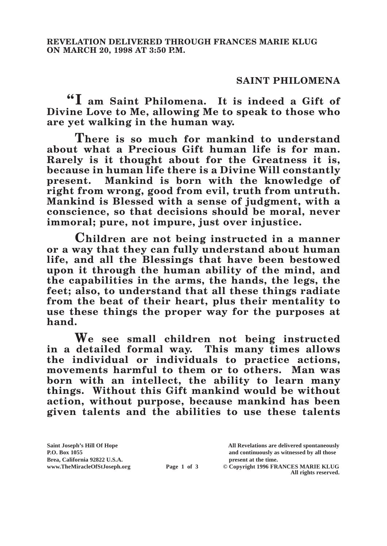## **SAINT PHILOMENA**

**"I am Saint Philomena. It is indeed a Gift of Divine Love to Me, allowing Me to speak to those who are yet walking in the human way.**

**There is so much for mankind to understand about what a Precious Gift human life is for man. Rarely is it thought about for the Greatness it is, because in human life there is a Divine Will constantly present. Mankind is born with the knowledge of right from wrong, good from evil, truth from untruth. Mankind is Blessed with a sense of judgment, with a conscience, so that decisions should be moral, never immoral; pure, not impure, just over injustice.**

**Children are not being instructed in a manner or a way that they can fully understand about human life, and all the Blessings that have been bestowed upon it through the human ability of the mind, and the capabilities in the arms, the hands, the legs, the feet; also, to understand that all these things radiate from the beat of their heart, plus their mentality to use these things the proper way for the purposes at hand.**

**We see small children not being instructed in a detailed formal way. This many times allows the individual or individuals to practice actions, movements harmful to them or to others. Man was born with an intellect, the ability to learn many things. Without this Gift mankind would be without action, without purpose, because mankind has been given talents and the abilities to use these talents** 

**Page 1 of 3** © Copyright 1996 FRANCES MARIE KLUG **All rights reserved.**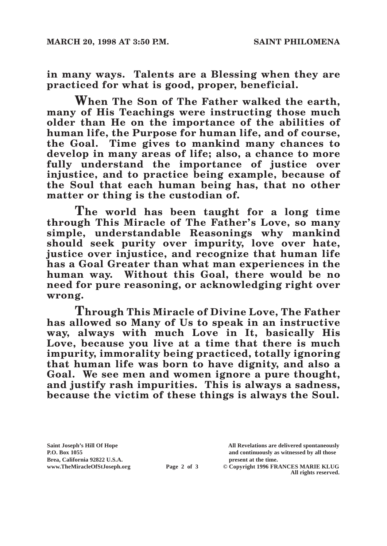**in many ways. Talents are a Blessing when they are practiced for what is good, proper, beneficial.**

**When The Son of The Father walked the earth, many of His Teachings were instructing those much older than He on the importance of the abilities of human life, the Purpose for human life, and of course, the Goal. Time gives to mankind many chances to develop in many areas of life; also, a chance to more fully understand the importance of justice over injustice, and to practice being example, because of the Soul that each human being has, that no other matter or thing is the custodian of.**

**The world has been taught for a long time through This Miracle of The Father's Love, so many simple, understandable Reasonings why mankind should seek purity over impurity, love over hate, justice over injustice, and recognize that human life has a Goal Greater than what man experiences in the human way. Without this Goal, there would be no need for pure reasoning, or acknowledging right over wrong.**

**Through This Miracle of Divine Love, The Father has allowed so Many of Us to speak in an instructive way, always with much Love in It, basically His Love, because you live at a time that there is much impurity, immorality being practiced, totally ignoring that human life was born to have dignity, and also a Goal. We see men and women ignore a pure thought, and justify rash impurities. This is always a sadness, because the victim of these things is always the Soul.**

Brea, California 92822 U.S.A.<br>
www.TheMiracleOfStJoseph.org<br> **Page 2 of 3** © Copyright 1996 FR.

**Saint Joseph's Hill Of Hope All Revelations are delivered spontaneously P.O. Box 1055 and continuously as witnessed by all those** 

**Page 2 of 3** © Copyright 1996 FRANCES MARIE KLUG **All rights reserved.**